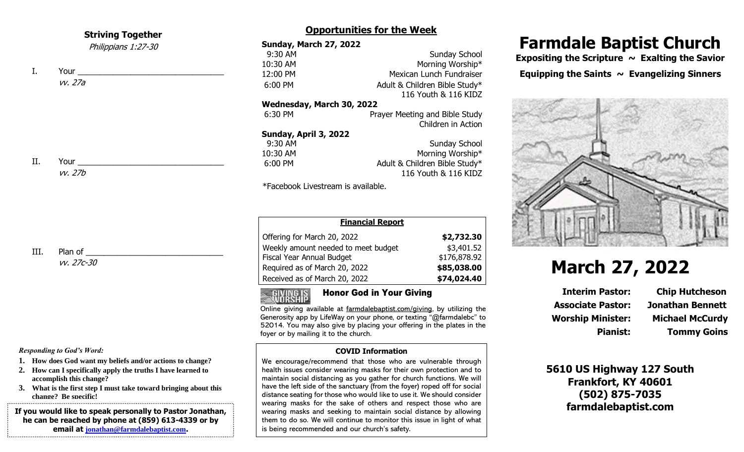### **Striving Together**

Philippians 1:27-30

I. Your vv. 27a

II. Your vv. 27b

III. Plan of \_\_\_\_\_\_

vv. 27c-30

#### *Responding to God's Word:*

- **1. How does God want my beliefs and/or actions to change?**
- **2. How can I specifically apply the truths I have learned to accomplish this change?**
- **3. What is the first step I must take toward bringing about this change? Be specific!**

**If you would like to speak personally to Pastor Jonathan, he can be reached by phone at (859) 613-4339 or by email at [jonathan@farmdalebaptist.com](mailto:jonathan@farmdalebaptist.com).**

### **Opportunities for the Week**

| <b>Sunday, March 27, 2022</b>      |                                |  |  |  |
|------------------------------------|--------------------------------|--|--|--|
| 9:30 AM                            | <b>Sunday School</b>           |  |  |  |
| 10:30 AM                           | Morning Worship*               |  |  |  |
| 12:00 PM                           | Mexican Lunch Fundraiser       |  |  |  |
| 6:00 PM                            | Adult & Children Bible Study*  |  |  |  |
|                                    | 116 Youth & 116 KIDZ           |  |  |  |
| Wednesday, March 30, 2022          |                                |  |  |  |
| 6:30 PM                            | Prayer Meeting and Bible Study |  |  |  |
|                                    | Children in Action             |  |  |  |
| Sunday, April 3, 2022              |                                |  |  |  |
| 9:30 AM                            | Sunday School                  |  |  |  |
| 10:30 AM                           | Morning Worship*               |  |  |  |
| 6:00 PM                            | Adult & Children Bible Study*  |  |  |  |
|                                    | 116 Youth & 116 KIDZ           |  |  |  |
| *Facebook Livestream is available. |                                |  |  |  |

| <b>Financial Report</b>             |              |  |  |  |  |  |
|-------------------------------------|--------------|--|--|--|--|--|
| Offering for March 20, 2022         | \$2,732.30   |  |  |  |  |  |
| Weekly amount needed to meet budget | \$3,401.52   |  |  |  |  |  |
| Fiscal Year Annual Budget           | \$176,878.92 |  |  |  |  |  |
| Required as of March 20, 2022       | \$85,038.00  |  |  |  |  |  |
| Received as of March 20, 2022       | \$74,024.40  |  |  |  |  |  |

### Honor God in Your Giving

Online giving available at farmdalebaptist.com/giving, by utilizing the Generosity app by LifeWay on your phone, or texting "@farmdalebc" to 52014. You may also give by placing your offering in the plates in the foyer or by mailing it to the church.

#### **COVID Information**

We encourage/recommend that those who are vulnerable through health issues consider wearing masks for their own protection and to maintain social distancing as you gather for church functions. We will have the left side of the sanctuary (from the foyer) roped off for social distance seating for those who would like to use it. We should consider wearing masks for the sake of others and respect those who are wearing masks and seeking to maintain social distance by allowing them to do so. We will continue to monitor this issue in light of what is being recommended and our church's safety.

## **Farmdale Baptist Church**

Expositing the Scripture ~ Exalting the Savior Equipping the Saints  $\sim$  Evangelizing Sinners



# **March 27, 2022**

**Associate Pastor: Jonathan Bennett Worship Minister: Michael McCurdy**

**Interim Pastor: Chip Hutcheson Pianist: Tommy Goins**

**5610 US Highway 127 South Frankfort, KY 40601 (502) 875-7035 farmdalebaptist.com**